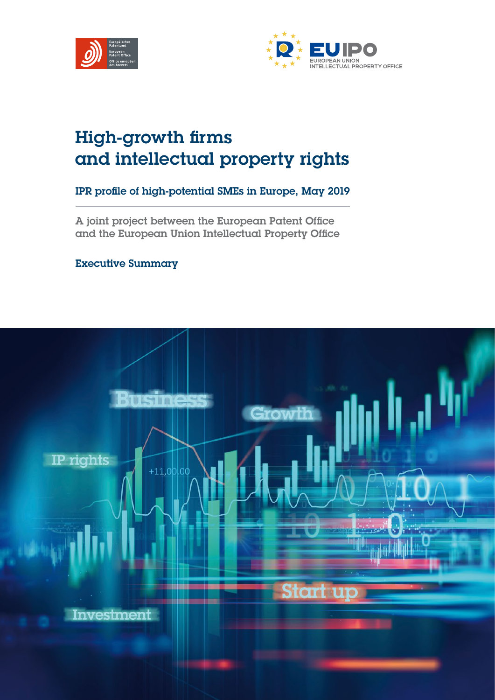



## High-growth firms and intellectual property rights

IPR profile of high-potential SMEs in Europe, May 2019

A joint project between the European Patent Office and the European Union Intellectual Property Office

Executive Summary

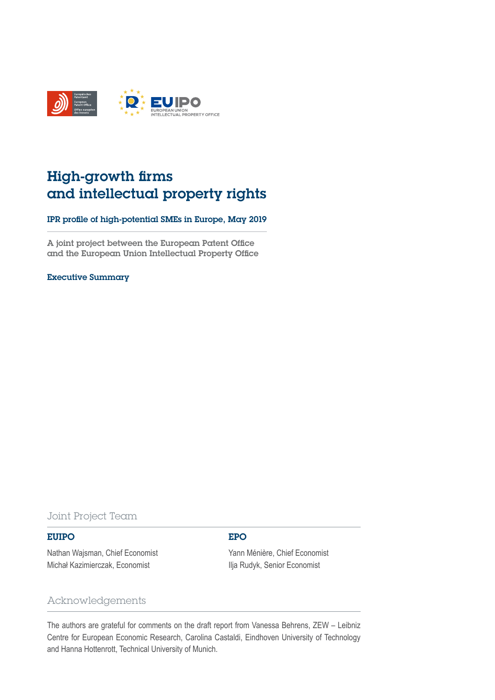

### High-growth firms and intellectual property rights

IPR profile of high-potential SMEs in Europe, May 2019

A joint project between the European Patent Office and the European Union Intellectual Property Office

Executive Summary

Joint Project Team

#### EUIPO EPO

Nathan Wajsman, Chief Economist Yann Ménière, Chief Economist Michał Kazimierczak, Economist **Ilia Rudyk, Senior Economist** 

#### Acknowledgements

The authors are grateful for comments on the draft report from Vanessa Behrens, ZEW – Leibniz Centre for European Economic Research, Carolina Castaldi, Eindhoven University of Technology and Hanna Hottenrott, Technical University of Munich.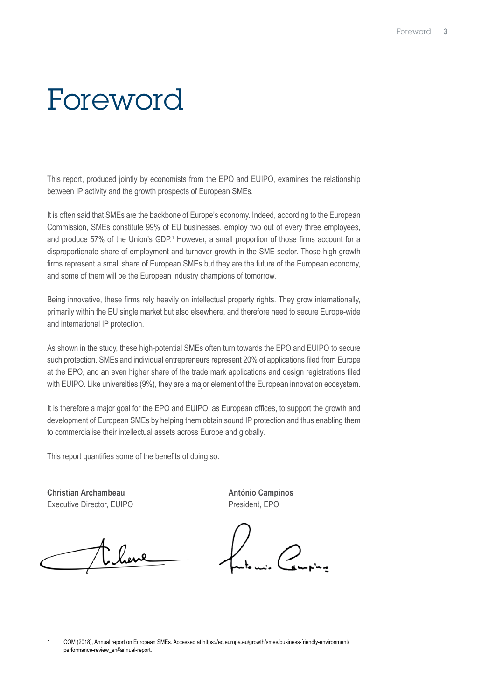# Foreword

This report, produced jointly by economists from the EPO and EUIPO, examines the relationship between IP activity and the growth prospects of European SMEs.

It is often said that SMEs are the backbone of Europe's economy. Indeed, according to the European Commission, SMEs constitute 99% of EU businesses, employ two out of every three employees, and produce 57% of the Union's GDP.<sup>1</sup> However, a small proportion of those firms account for a disproportionate share of employment and turnover growth in the SME sector. Those high-growth firms represent a small share of European SMEs but they are the future of the European economy, and some of them will be the European industry champions of tomorrow.

Being innovative, these firms rely heavily on intellectual property rights. They grow internationally, primarily within the EU single market but also elsewhere, and therefore need to secure Europe-wide and international IP protection.

As shown in the study, these high-potential SMEs often turn towards the EPO and EUIPO to secure such protection. SMEs and individual entrepreneurs represent 20% of applications filed from Europe at the EPO, and an even higher share of the trade mark applications and design registrations filed with EUIPO. Like universities (9%), they are a major element of the European innovation ecosystem.

It is therefore a major goal for the EPO and EUIPO, as European offices, to support the growth and development of European SMEs by helping them obtain sound IP protection and thus enabling them to commercialise their intellectual assets across Europe and globally.

This report quantifies some of the benefits of doing so.

**Christian Archambeau António Campinos** Executive Director, EUIPO President, EPO

<sup>1</sup> COM (2018), Annual report on European SMEs. Accessed at https://ec.europa.eu/growth/smes/business-friendly-environment/ performance-review\_en#annual-report.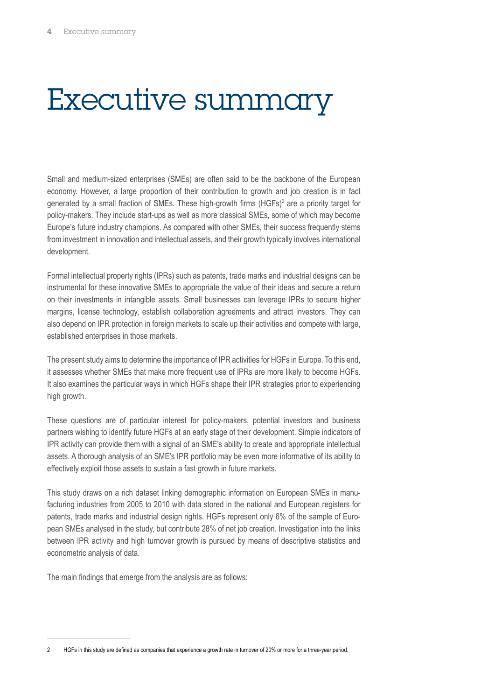# Executive summary

Small and medium-sized enterprises (SMEs) are often said to be the backbone of the European economy. However, a large proportion of their contribution to growth and job creation is in fact generated by a small fraction of SMEs. These high-growth firms (HGFs)<sup>2</sup> are a priority target for policy-makers. They include start-ups as well as more classical SMEs, some of which may become Europe's future industry champions. As compared with other SMEs, their success frequently stems from investment in innovation and intellectual assets, and their growth typically involves international development.

Formal intellectual property rights (IPRs) such as patents, trade marks and industrial designs can be instrumental for these innovative SMEs to appropriate the value of their ideas and secure a return on their investments in intangible assets. Small businesses can leverage IPRs to secure higher margins, license technology, establish collaboration agreements and attract investors. They can also depend on IPR protection in foreign markets to scale up their activities and compete with large, established enterprises in those markets.

The present study aims to determine the importance of IPR activities for HGFs in Europe. To this end, it assesses whether SMEs that make more frequent use of IPRs are more likely to become HGFs. It also examines the particular ways in which HGFs shape their IPR strategies prior to experiencing high growth.

These questions are of particular interest for policy-makers, potential investors and business partners wishing to identify future HGFs at an early stage of their development. Simple indicators of IPR activity can provide them with a signal of an SME's ability to create and appropriate intellectual assets. A thorough analysis of an SME's IPR portfolio may be even more informative of its ability to effectively exploit those assets to sustain a fast growth in future markets.

This study draws on a rich dataset linking demographic information on European SMEs in manufacturing industries from 2005 to 2010 with data stored in the national and European registers for patents, trade marks and industrial design rights. HGFs represent only 6% of the sample of European SMEs analysed in the study, but contribute 28% of net job creation. Investigation into the links between IPR activity and high turnover growth is pursued by means of descriptive statistics and econometric analysis of data.

The main findings that emerge from the analysis are as follows:

<sup>2</sup> HGFs in this study are defined as companies that experience a growth rate in turnover of 20% or more for a three-year period.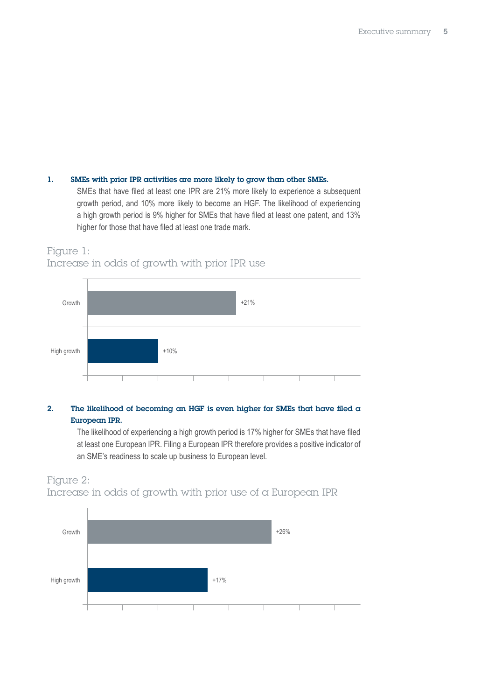#### 1. SMEs with prior IPR activities are more likely to grow than other SMEs.

SMEs that have filed at least one IPR are 21% more likely to experience a subsequent growth period, and 10% more likely to become an HGF. The likelihood of experiencing a high growth period is 9% higher for SMEs that have filed at least one patent, and 13% higher for those that have filed at least one trade mark.



### Increase in odds of growth with prior IPR use

Figure 1:

#### 2. The likelihood of becoming an HGF is even higher for SMEs that have filed  $\alpha$ European IPR.

The likelihood of experiencing a high growth period is 17% higher for SMEs that have filed at least one European IPR. Filing a European IPR therefore provides a positive indicator of an SME's readiness to scale up business to European level.

#### Figure 2: Increase in odds of growth with prior use of a European IPR

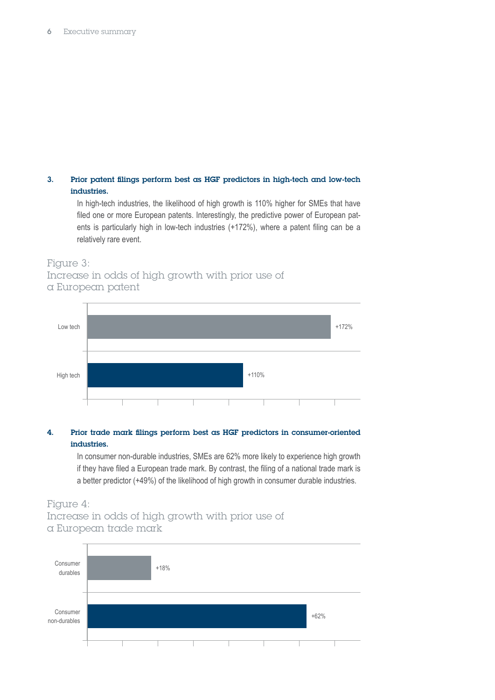#### 6 Executive summary

#### 3. Prior patent filings perform best as HGF predictors in high-tech and low-tech industries.

In high-tech industries, the likelihood of high growth is 110% higher for SMEs that have filed one or more European patents. Interestingly, the predictive power of European patents is particularly high in low-tech industries (+172%), where a patent filing can be a relatively rare event.

#### Figure 3:

```
Increase in odds of high growth with prior use of 
a European patent
```


#### 4. Prior trade mark filings perform best as HGF predictors in consumer-oriented industries.

In consumer non-durable industries, SMEs are 62% more likely to experience high growth if they have filed a European trade mark. By contrast, the filing of a national trade mark is a better predictor (+49%) of the likelihood of high growth in consumer durable industries.

#### Figure 4: Increase in odds of high growth with prior use of a European trade mark

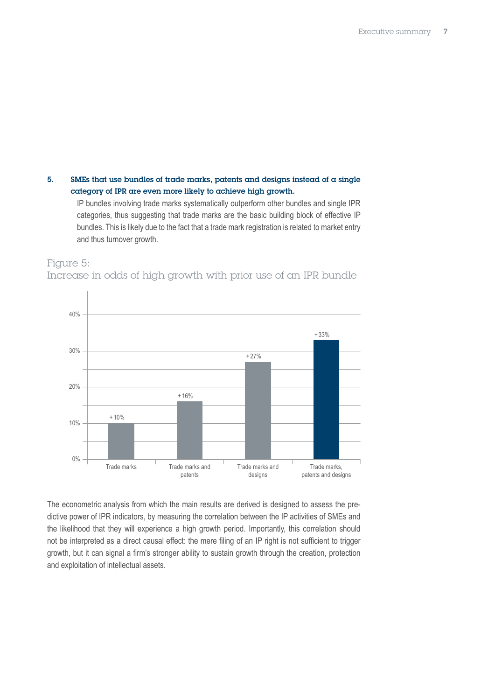#### 5. SMEs that use bundles of trade marks, patents and designs instead of a single category of IPR are even more likely to achieve high growth.

IP bundles involving trade marks systematically outperform other bundles and single IPR categories, thus suggesting that trade marks are the basic building block of effective IP bundles. This is likely due to the fact that a trade mark registration is related to market entry and thus turnover growth.



Increase in odds of high growth with prior use of an IPR bundle

Figure 5:

The econometric analysis from which the main results are derived is designed to assess the predictive power of IPR indicators, by measuring the correlation between the IP activities of SMEs and the likelihood that they will experience a high growth period. Importantly, this correlation should not be interpreted as a direct causal effect: the mere filing of an IP right is not sufficient to trigger growth, but it can signal a firm's stronger ability to sustain growth through the creation, protection and exploitation of intellectual assets.